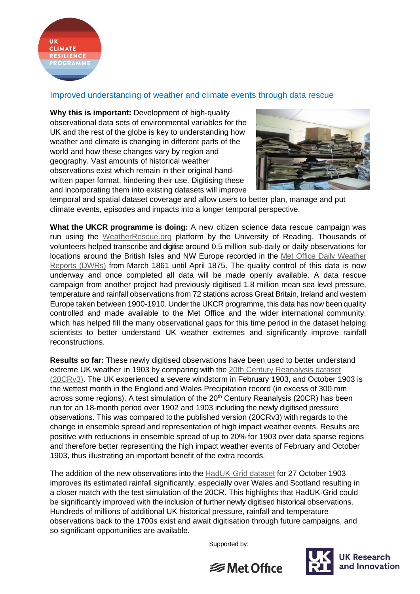

## Improved understanding of weather and climate events through data rescue

**Why this is important:** Development of high-quality observational data sets of environmental variables for the UK and the rest of the globe is key to understanding how weather and climate is changing in different parts of the world and how these changes vary by region and geography. Vast amounts of historical weather observations exist which remain in their original handwritten paper format, hindering their use. Digitising these and incorporating them into existing datasets will improve



temporal and spatial dataset coverage and allow users to better plan, manage and put climate events, episodes and impacts into a longer temporal perspective.

**What the UKCR programme is doing:** A new citizen science data rescue campaign was run using the [WeatherRescue.org](https://www.zooniverse.org/projects/edh/rainfall-rescue) platform by the University of Reading. Thousands of volunteers helped transcribe and digitise around 0.5 million sub-daily or daily observations for locations around the British Isles and NW Europe recorded in the [Met Office Daily Weather](https://www.metoffice.gov.uk/research/library-and-archive/publications/daily-weather-summary)  [Reports \(DWRs\)](https://www.metoffice.gov.uk/research/library-and-archive/publications/daily-weather-summary) from March 1861 until April 1875. The quality control of this data is now underway and once completed all data will be made openly available. A data rescue campaign from another project had previously digitised 1.8 million mean sea level pressure, temperature and rainfall observations from 72 stations across Great Britain, Ireland and western Europe taken between 1900-1910. Under the UKCR programme, this data has now been quality controlled and made available to the Met Office and the wider international community, which has helped fill the many observational gaps for this time period in the dataset helping scientists to better understand UK weather extremes and significantly improve rainfall reconstructions.

**Results so far:** These newly digitised observations have been used to better understand extreme UK weather in 1903 by comparing with the [20th Century Reanalysis dataset](https://www.psl.noaa.gov/data/20thC_Rean/)  [\(20CRv3\).](https://www.psl.noaa.gov/data/20thC_Rean/) The UK experienced a severe windstorm in February 1903, and October 1903 is the wettest month in the England and Wales Precipitation record (in excess of 300 mm across some regions). A test simulation of the  $20<sup>th</sup>$  Century Reanalysis (20CR) has been run for an 18-month period over 1902 and 1903 including the newly digitised pressure observations. This was compared tothe published version (20CRv3) with regards to the change in ensemble spread and representation of high impact weather events. Results are positive with reductions in ensemble spread of up to 20% for 1903 over data sparse regions and therefore better representing the high impact weather events of February and October 1903, thus illustrating an important benefit of the extra records.

The addition of the new observations into the [HadUK-Grid](https://www.metoffice.gov.uk/research/climate/maps-and-data/data/haduk-grid/haduk-grid) dataset for 27 October 1903 improves its estimated rainfall significantly, especially over Wales and Scotland resulting in a closer match with the test simulation of the 20CR. This highlights that HadUK-Grid could be significantly improved with the inclusion of further newly digitised historical observations. Hundreds of millions of additional UK historical pressure, rainfall and temperature observations back to the 1700s exist and await digitisation through future campaigns, and so significant opportunities are available.

Supported by: